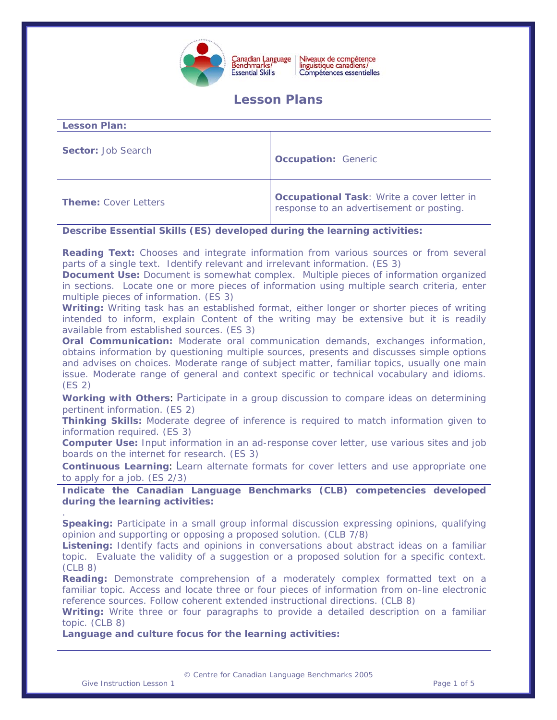

# **Lesson Plans**

| <b>Lesson Plan:</b>         |                                                                                        |
|-----------------------------|----------------------------------------------------------------------------------------|
| <b>Sector: Job Search</b>   | <b>Occupation: Generic</b>                                                             |
| <b>Theme:</b> Cover Letters | Occupational Task: Write a cover letter in<br>response to an advertisement or posting. |

# **Describe Essential Skills (ES) developed during the learning activities:**

**Reading Text:** Chooses and integrate information from various sources or from several parts of a single text. Identify relevant and irrelevant information. (ES 3)

**Document Use:** Document is somewhat complex. Multiple pieces of information organized in sections. Locate one or more pieces of information using multiple search criteria, enter multiple pieces of information. (ES 3)

**Writing:** Writing task has an established format, either longer or shorter pieces of writing intended to inform, explain Content of the writing may be extensive but it is readily available from established sources. (ES 3)

**Oral Communication:** Moderate oral communication demands, exchanges information, obtains information by questioning multiple sources, presents and discusses simple options and advises on choices. Moderate range of subject matter, familiar topics, usually one main issue. Moderate range of general and context specific or technical vocabulary and idioms. (ES 2)

**Working with Others**: Participate in a group discussion to compare ideas on determining pertinent information. (ES 2)

**Thinking Skills:** Moderate degree of inference is required to match information given to information required. (ES 3)

**Computer Use:** Input information in an ad-response cover letter, use various sites and job boards on the internet for research. (ES 3)

**Continuous Learning**: Learn alternate formats for cover letters and use appropriate one to apply for a job. (ES 2/3)

**Indicate the Canadian Language Benchmarks (CLB) competencies developed during the learning activities:** 

**Speaking:** Participate in a small group informal discussion expressing opinions, qualifying opinion and supporting or opposing a proposed solution. (CLB 7/8)

**Listening:** Identify facts and opinions in conversations about abstract ideas on a familiar topic. Evaluate the validity of a suggestion or a proposed solution for a specific context. (CLB 8)

**Reading:** Demonstrate comprehension of a moderately complex formatted text on a familiar topic. Access and locate three or four pieces of information from on-line electronic reference sources. Follow coherent extended instructional directions. (CLB 8)

**Writing:** Write three or four paragraphs to provide a detailed description on a familiar topic. (CLB 8)

**Language and culture focus for the learning activities:** 

© Centre for Canadian Language Benchmarks 2005

.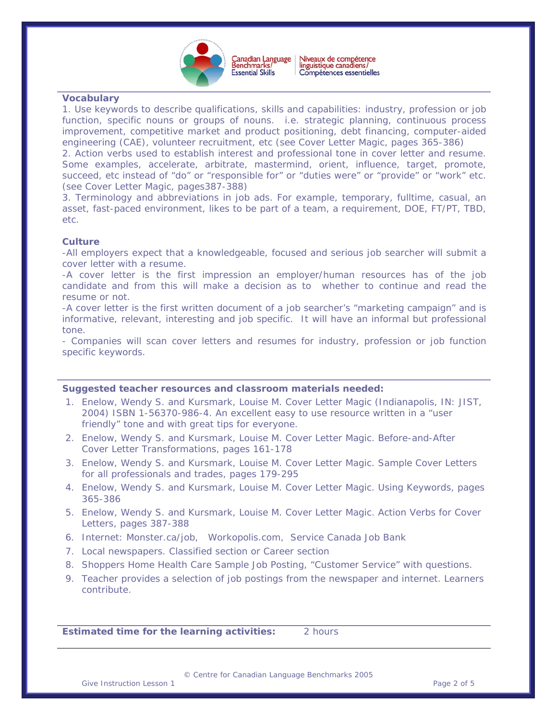

 $\overline{a}$ 

## **Vocabulary**

1. Use keywords to describe qualifications, skills and capabilities: industry, profession or job function, specific nouns or groups of nouns. i.e. strategic planning, continuous process improvement, competitive market and product positioning, debt financing, computer-aided engineering (CAE), volunteer recruitment, etc (see *Cover Letter Magic,* pages 365-386)

2. Action verbs used to establish interest and professional tone in cover letter and resume. Some examples, accelerate, arbitrate, mastermind, orient, influence, target, promote, succeed, etc instead of "do" or "responsible for" or "duties were" or "provide" or "work" etc. (see *Cover Letter Magic*, pages387-388)

3. Terminology and abbreviations in job ads. For example, temporary, fulltime, casual, an asset, fast-paced environment, likes to be part of a team, a requirement, DOE, FT/PT, TBD, etc.

## **Culture**

-All employers expect that a knowledgeable, focused and serious job searcher will submit a cover letter with a resume.

-A cover letter is the first impression an employer/human resources has of the job candidate and from this will make a decision as to whether to continue and read the resume or not.

-A cover letter is the first written document of a job searcher's "marketing campaign" and is informative, relevant, interesting and job specific. It will have an informal but professional tone.

- Companies will scan cover letters and resumes for industry, profession or job function specific keywords.

### **Suggested teacher resources and classroom materials needed:**

- 1. Enelow, Wendy S. and Kursmark, Louise M. *Cover Letter Magic (*Indianapolis, IN: JIST, 2004) ISBN 1-56370-986-4. An excellent easy to use resource written in a "user friendly" tone and with great tips for everyone.
- 2. Enelow, Wendy S. and Kursmark, Louise M. *Cover Letter Magic.* Before-and-After Cover Letter Transformations, pages 161-178
- 3. Enelow, Wendy S. and Kursmark, Louise M. *Cover Letter Magic.* Sample Cover Letters for all professionals and trades, pages 179-295
- 4. Enelow, Wendy S. and Kursmark, Louise M. *Cover Letter Magic.* Using Keywords, pages 365-386
- 5. Enelow, Wendy S. and Kursmark, Louise M. *Cover Letter Magic.* Action Verbs for Cover Letters, pages 387-388
- 6. Internet: Monster.ca/job, Workopolis.com, Service Canada Job Bank
- 7. Local newspapers. Classified section or Career section
- 8. Shoppers Home Health Care Sample Job Posting, "Customer Service" with questions.
- 9. Teacher provides a selection of job postings from the newspaper and internet. Learners contribute.

**Estimated time for the learning activities:** 2 hours

© Centre for Canadian Language Benchmarks 2005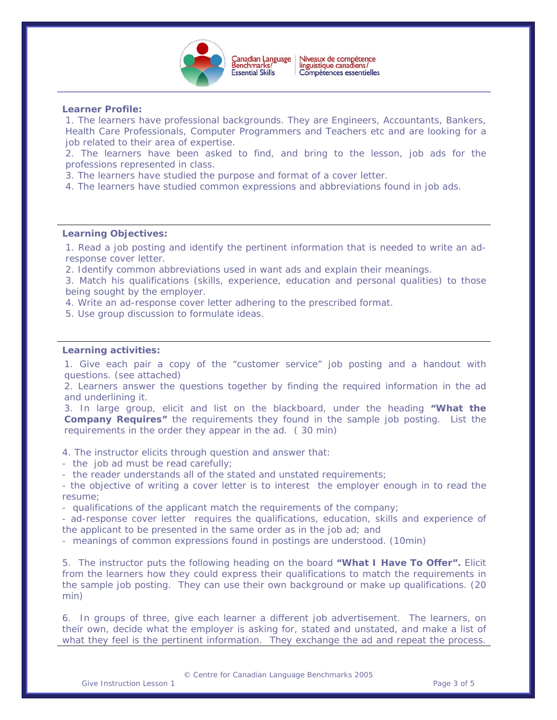

 $\overline{a}$ 

## **Learner Profile:**

1. The learners have professional backgrounds. They are Engineers, Accountants, Bankers, Health Care Professionals, Computer Programmers and Teachers etc and are looking for a job related to their area of expertise.

2. The learners have been asked to find, and bring to the lesson, job ads for the professions represented in class.

3. The learners have studied the purpose and format of a cover letter.

4. The learners have studied common expressions and abbreviations found in job ads.

# **Learning Objectives:**

1. Read a job posting and identify the pertinent information that is needed to write an adresponse cover letter.

2. Identify common abbreviations used in want ads and explain their meanings.

3. Match his qualifications (skills, experience, education and personal qualities) to those being sought by the employer.

4. Write an ad-response cover letter adhering to the prescribed format.

5. Use group discussion to formulate ideas.

#### **Learning activities:**

1. Give each pair a copy of the "customer service" job posting and a handout with questions. (see attached)

2. Learners answer the questions together by finding the required information in the ad and underlining it.

3. In large group, elicit and list on the blackboard, under the heading **"What the Company Requires"** the requirements they found in the sample job posting. List the requirements in the order they appear in the ad. ( 30 min)

4. The instructor elicits through question and answer that:

- the job ad must be read carefully;

- the reader understands all of the stated and unstated requirements;

- the objective of writing a cover letter is to interest the employer enough in to read the resume;

- qualifications of the applicant match the requirements of the company;

- ad-response cover letter requires the qualifications, education, skills and experience of the applicant to be presented in the same order as in the job ad; and

- meanings of common expressions found in postings are understood. (10min)

5. The instructor puts the following heading on the board **"What I Have To Offer".** Elicit from the learners how they could express their qualifications to match the requirements in the sample job posting. They can use their own background or make up qualifications. (20 min)

6. In groups of three, give each learner a different job advertisement. The learners, on their own, decide what the employer is asking for, stated and unstated, and make a list of what they feel is the pertinent information. They exchange the ad and repeat the process.

© Centre for Canadian Language Benchmarks 2005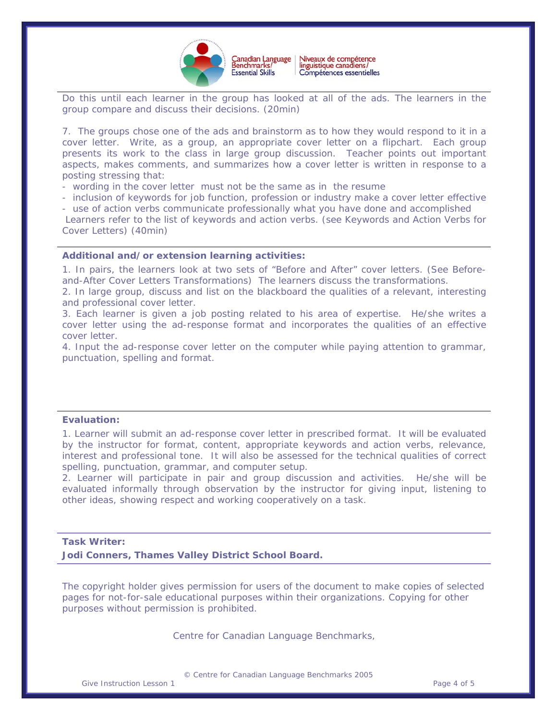

 $\overline{a}$ Do this until each learner in the group has looked at all of the ads. The learners in the group compare and discuss their decisions. (20min)

7. The groups chose one of the ads and brainstorm as to how they would respond to it in a cover letter. Write, as a group, an appropriate cover letter on a flipchart. Each group presents its work to the class in large group discussion. Teacher points out important aspects, makes comments, and summarizes how a cover letter is written in response to a posting stressing that:

- wording in the cover letter must not be the same as in the resume

- inclusion of keywords for job function, profession or industry make a cover letter effective

- use of action verbs communicate professionally what you have done and accomplished

 Learners refer to the list of keywords and action verbs. (see Keywords and Action Verbs for Cover Letters) (40min)

#### **Additional and/or extension learning activities:**

1. In pairs, the learners look at two sets of "Before and After" cover letters. (See Beforeand-After Cover Letters Transformations) The learners discuss the transformations.

2. In large group, discuss and list on the blackboard the qualities of a relevant, interesting and professional cover letter.

3. Each learner is given a job posting related to his area of expertise. He/she writes a cover letter using the ad-response format and incorporates the qualities of an effective cover letter.

4. Input the ad-response cover letter on the computer while paying attention to grammar, punctuation, spelling and format.

### **Evaluation:**

1. Learner will submit an ad-response cover letter in prescribed format. It will be evaluated by the instructor for format, content, appropriate keywords and action verbs, relevance, interest and professional tone. It will also be assessed for the technical qualities of correct spelling, punctuation, grammar, and computer setup.

2. Learner will participate in pair and group discussion and activities. He/she will be evaluated informally through observation by the instructor for giving input, listening to other ideas, showing respect and working cooperatively on a task.

# **Task Writer:**

**Jodi Conners, Thames Valley District School Board.** 

*The copyright holder gives permission for users of the document to make copies of selected pages for not-for-sale educational purposes within their organizations. Copying for other purposes without permission is prohibited.* 

Centre for Canadian Language Benchmarks,

© Centre for Canadian Language Benchmarks 2005